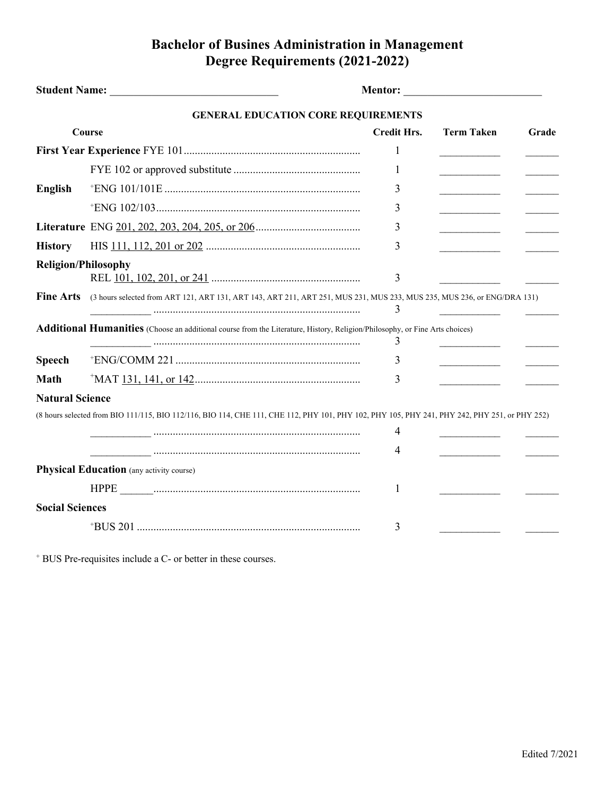## **Bachelor of Busines Administration in Management Degree Requirements (2021-2022)**

| Student Name: Name:                        |                                                                                                                                               |                    | Mentor: New York Street, New York Street, New York Street, New York Street, New York Street, New York Street, New York Street, New York Street, New York Street, New York Street, New York Street, New York Street, New York S |       |  |  |  |  |
|--------------------------------------------|-----------------------------------------------------------------------------------------------------------------------------------------------|--------------------|--------------------------------------------------------------------------------------------------------------------------------------------------------------------------------------------------------------------------------|-------|--|--|--|--|
| <b>GENERAL EDUCATION CORE REQUIREMENTS</b> |                                                                                                                                               |                    |                                                                                                                                                                                                                                |       |  |  |  |  |
| Course                                     |                                                                                                                                               | <b>Credit Hrs.</b> | <b>Term Taken</b>                                                                                                                                                                                                              | Grade |  |  |  |  |
|                                            |                                                                                                                                               | 1                  |                                                                                                                                                                                                                                |       |  |  |  |  |
|                                            |                                                                                                                                               | -1                 |                                                                                                                                                                                                                                |       |  |  |  |  |
| <b>English</b>                             |                                                                                                                                               | 3                  |                                                                                                                                                                                                                                |       |  |  |  |  |
|                                            |                                                                                                                                               | 3                  | <u> 1989 - Johann Barnett, fransk politiker</u>                                                                                                                                                                                |       |  |  |  |  |
|                                            |                                                                                                                                               | 3                  |                                                                                                                                                                                                                                |       |  |  |  |  |
| <b>History</b>                             |                                                                                                                                               | 3                  |                                                                                                                                                                                                                                |       |  |  |  |  |
| <b>Religion/Philosophy</b>                 |                                                                                                                                               | 3                  |                                                                                                                                                                                                                                |       |  |  |  |  |
| <b>Fine Arts</b>                           | (3 hours selected from ART 121, ART 131, ART 143, ART 211, ART 251, MUS 231, MUS 233, MUS 235, MUS 236, or ENG/DRA 131)                       | 3                  |                                                                                                                                                                                                                                |       |  |  |  |  |
|                                            | Additional Humanities (Choose an additional course from the Literature, History, Religion/Philosophy, or Fine Arts choices)                   | 3                  |                                                                                                                                                                                                                                |       |  |  |  |  |
| <b>Speech</b>                              |                                                                                                                                               | 3                  |                                                                                                                                                                                                                                |       |  |  |  |  |
| <b>Math</b>                                |                                                                                                                                               | 3                  |                                                                                                                                                                                                                                |       |  |  |  |  |
| <b>Natural Science</b>                     |                                                                                                                                               |                    |                                                                                                                                                                                                                                |       |  |  |  |  |
|                                            | (8 hours selected from BIO 111/115, BIO 112/116, BIO 114, CHE 111, CHE 112, PHY 101, PHY 102, PHY 105, PHY 241, PHY 242, PHY 251, or PHY 252) |                    |                                                                                                                                                                                                                                |       |  |  |  |  |
|                                            |                                                                                                                                               | 4                  |                                                                                                                                                                                                                                |       |  |  |  |  |
|                                            |                                                                                                                                               | 4                  |                                                                                                                                                                                                                                |       |  |  |  |  |
|                                            | <b>Physical Education</b> (any activity course)                                                                                               |                    |                                                                                                                                                                                                                                |       |  |  |  |  |
|                                            |                                                                                                                                               | 1                  |                                                                                                                                                                                                                                |       |  |  |  |  |
| <b>Social Sciences</b>                     |                                                                                                                                               |                    |                                                                                                                                                                                                                                |       |  |  |  |  |
|                                            |                                                                                                                                               | 3                  |                                                                                                                                                                                                                                |       |  |  |  |  |

<sup>+</sup> BUS Pre-requisites include a C- or better in these courses.